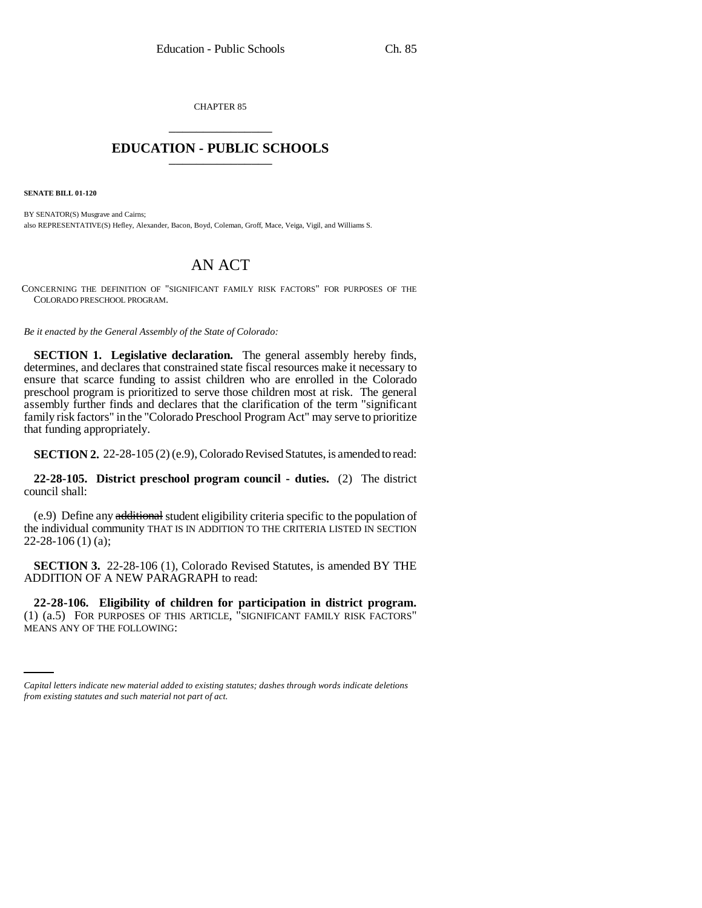CHAPTER 85 \_\_\_\_\_\_\_\_\_\_\_\_\_\_\_

## **EDUCATION - PUBLIC SCHOOLS** \_\_\_\_\_\_\_\_\_\_\_\_\_\_\_

**SENATE BILL 01-120**

BY SENATOR(S) Musgrave and Cairns; also REPRESENTATIVE(S) Hefley, Alexander, Bacon, Boyd, Coleman, Groff, Mace, Veiga, Vigil, and Williams S.

## AN ACT

CONCERNING THE DEFINITION OF "SIGNIFICANT FAMILY RISK FACTORS" FOR PURPOSES OF THE COLORADO PRESCHOOL PROGRAM.

*Be it enacted by the General Assembly of the State of Colorado:*

**SECTION 1. Legislative declaration.** The general assembly hereby finds, determines, and declares that constrained state fiscal resources make it necessary to ensure that scarce funding to assist children who are enrolled in the Colorado preschool program is prioritized to serve those children most at risk. The general assembly further finds and declares that the clarification of the term "significant family risk factors" in the "Colorado Preschool Program Act" may serve to prioritize that funding appropriately.

**SECTION 2.** 22-28-105 (2) (e.9), Colorado Revised Statutes, is amended to read:

**22-28-105. District preschool program council - duties.** (2) The district council shall:

(e.9) Define any additional student eligibility criteria specific to the population of the individual community THAT IS IN ADDITION TO THE CRITERIA LISTED IN SECTION 22-28-106 (1) (a);

**SECTION 3.** 22-28-106 (1), Colorado Revised Statutes, is amended BY THE ADDITION OF A NEW PARAGRAPH to read:

(1) (a.5) FOR PURPOSES OF THIS ARTICLE, "SIGNIFICANT FAMILY RISK FACTORS" **22-28-106. Eligibility of children for participation in district program.** MEANS ANY OF THE FOLLOWING:

*Capital letters indicate new material added to existing statutes; dashes through words indicate deletions from existing statutes and such material not part of act.*